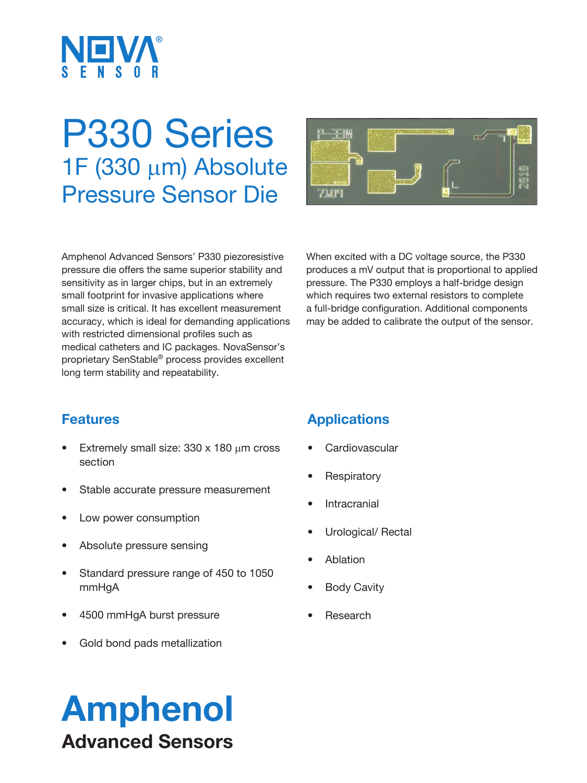

# P330 Series  $1F(330 \mu m)$  Absolute Pressure Sensor Die



Amphenol Advanced Sensors' P330 piezoresistive pressure die offers the same superior stability and sensitivity as in larger chips, but in an extremely small footprint for invasive applications where small size is critical. It has excellent measurement accuracy, which is ideal for demanding applications with restricted dimensional profiles such as medical catheters and IC packages. NovaSensor's proprietary SenStable® process provides excellent long term stability and repeatability.

When excited with a DC voltage source, the P330 produces a mV output that is proportional to applied pressure. The P330 employs a half-bridge design which requires two external resistors to complete a full-bridge configuration. Additional components may be added to calibrate the output of the sensor.

# **Features**

- Extremely small size:  $330 \times 180$  µm cross section
- Stable accurate pressure measurement
- Low power consumption
- Absolute pressure sensing
- Standard pressure range of 450 to 1050 mmHgA
- 4500 mmHgA burst pressure
- Gold bond pads metallization

# **Applications**

- **Cardiovascular**
- **Respiratory**
- **Intracranial**
- Urological/ Rectal
- Ablation
- **Body Cavity**
- **Research**

# Amphenol Advanced Sensors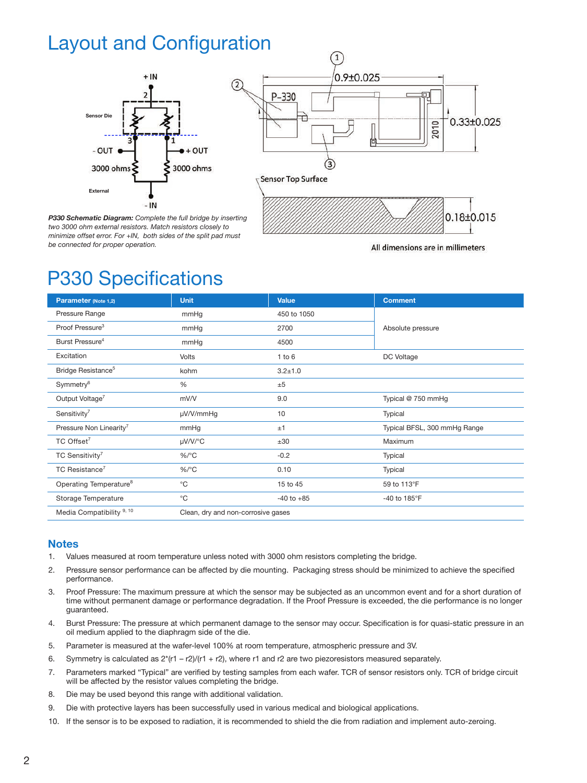# Layout and Configuration

 $\frac{2}{2}$ 



*P330 Schematic Diagram: Complete the full bridge by inserting two 3000 ohm external resistors. Match resistors closely to minimize offset error. For +IN, both sides of the split pad must be connected for proper operation.* 



All dimensions are in millimeters

# P330 Specifications

| Parameter (Note 1,2)                 | <b>Unit</b>                        | Value          | <b>Comment</b>               |
|--------------------------------------|------------------------------------|----------------|------------------------------|
| Pressure Range                       | mmHg                               | 450 to 1050    | Absolute pressure            |
| Proof Pressure <sup>3</sup>          | mmHg                               | 2700           |                              |
| Burst Pressure <sup>4</sup>          | mmHg                               | 4500           |                              |
| Excitation                           | <b>Volts</b>                       | $1$ to $6$     | DC Voltage                   |
| Bridge Resistance <sup>5</sup>       | kohm                               | $3.2 \pm 1.0$  |                              |
| Symmetry <sup>6</sup>                | %                                  | ±5             |                              |
| Output Voltage <sup>7</sup>          | mV/V                               | 9.0            | Typical @ 750 mmHg           |
| Sensitivity <sup>7</sup>             | µV/V/mmHg                          | 10             | Typical                      |
| Pressure Non Linearity <sup>7</sup>  | mmHg                               | ±1             | Typical BFSL, 300 mmHg Range |
| TC Offset <sup>7</sup>               | µV/V/°C                            | ±30            | Maximum                      |
| TC Sensitivity <sup>7</sup>          | $\%$ /°C                           | $-0.2$         | Typical                      |
| TC Resistance <sup>7</sup>           | $%$ /°C                            | 0.10           | Typical                      |
| Operating Temperature <sup>8</sup>   | $^{\circ}$ C                       | 15 to 45       | 59 to 113°F                  |
| Storage Temperature                  | $^{\circ}$ C                       | $-40$ to $+85$ | -40 to 185°F                 |
| Media Compatibility <sup>9, 10</sup> | Clean, dry and non-corrosive gases |                |                              |

#### **Notes**

- 1. Values measured at room temperature unless noted with 3000 ohm resistors completing the bridge.
- 2. Pressure sensor performance can be affected by die mounting. Packaging stress should be minimized to achieve the specified performance.
- 3. Proof Pressure: The maximum pressure at which the sensor may be subjected as an uncommon event and for a short duration of time without permanent damage or performance degradation. If the Proof Pressure is exceeded, the die performance is no longer guaranteed.
- 4. Burst Pressure: The pressure at which permanent damage to the sensor may occur. Specification is for quasi-static pressure in an oil medium applied to the diaphragm side of the die.
- 5. Parameter is measured at the wafer-level 100% at room temperature, atmospheric pressure and 3V.
- 6. Symmetry is calculated as  $2*(r1 r2)/(r1 + r2)$ , where r1 and r2 are two piezoresistors measured separately.
- 7. Parameters marked "Typical" are verified by testing samples from each wafer. TCR of sensor resistors only. TCR of bridge circuit will be affected by the resistor values completing the bridge.
- 8. Die may be used beyond this range with additional validation.
- 9. Die with protective layers has been successfully used in various medical and biological applications.
- 10. If the sensor is to be exposed to radiation, it is recommended to shield the die from radiation and implement auto-zeroing.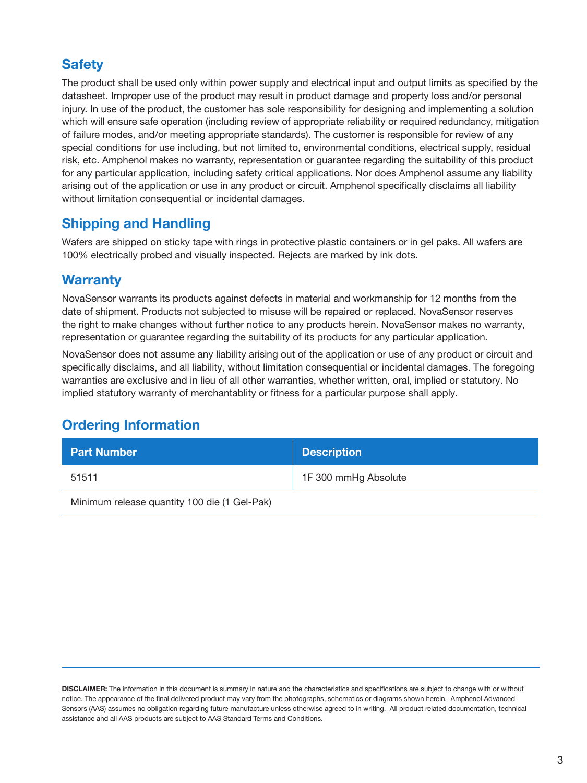# **Safety**

The product shall be used only within power supply and electrical input and output limits as specified by the datasheet. Improper use of the product may result in product damage and property loss and/or personal injury. In use of the product, the customer has sole responsibility for designing and implementing a solution which will ensure safe operation (including review of appropriate reliability or required redundancy, mitigation of failure modes, and/or meeting appropriate standards). The customer is responsible for review of any special conditions for use including, but not limited to, environmental conditions, electrical supply, residual risk, etc. Amphenol makes no warranty, representation or guarantee regarding the suitability of this product for any particular application, including safety critical applications. Nor does Amphenol assume any liability arising out of the application or use in any product or circuit. Amphenol specifically disclaims all liability without limitation consequential or incidental damages.

## **Shipping and Handling**

Wafers are shipped on sticky tape with rings in protective plastic containers or in gel paks. All wafers are 100% electrically probed and visually inspected. Rejects are marked by ink dots.

## **Warranty**

NovaSensor warrants its products against defects in material and workmanship for 12 months from the date of shipment. Products not subjected to misuse will be repaired or replaced. NovaSensor reserves the right to make changes without further notice to any products herein. NovaSensor makes no warranty, representation or guarantee regarding the suitability of its products for any particular application.

NovaSensor does not assume any liability arising out of the application or use of any product or circuit and specifically disclaims, and all liability, without limitation consequential or incidental damages. The foregoing warranties are exclusive and in lieu of all other warranties, whether written, oral, implied or statutory. No implied statutory warranty of merchantablity or fitness for a particular purpose shall apply.

# **Ordering Information**

| <b>Part Number</b>                           | <b>Description</b>   |  |
|----------------------------------------------|----------------------|--|
| 51511                                        | 1F 300 mmHg Absolute |  |
| Minimum release quantity 100 die (1 Gel-Pak) |                      |  |

**DISCLAIMER:** The information in this document is summary in nature and the characteristics and specifications are subject to change with or without notice. The appearance of the final delivered product may vary from the photographs, schematics or diagrams shown herein. Amphenol Advanced Sensors (AAS) assumes no obligation regarding future manufacture unless otherwise agreed to in writing. All product related documentation, technical assistance and all AAS products are subject to AAS Standard Terms and Conditions.